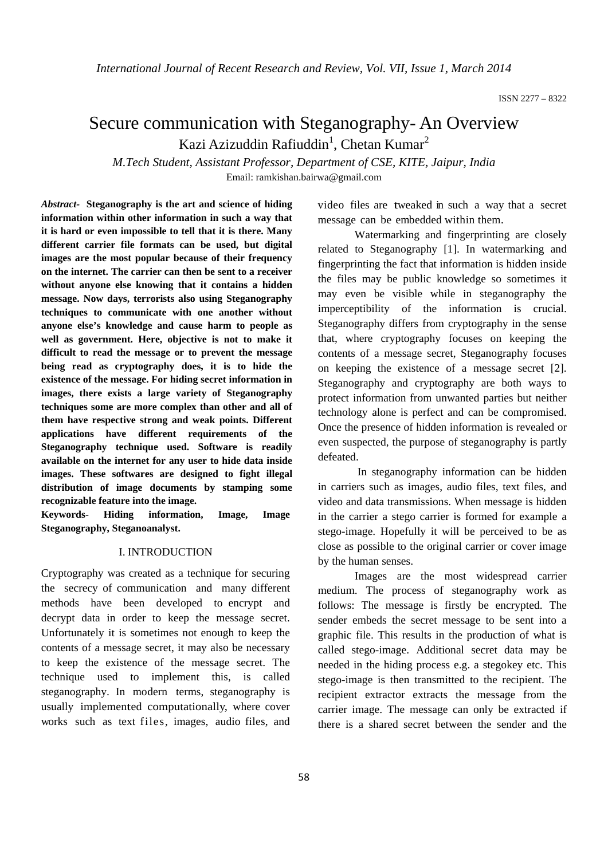# Secure communication with Steganography- An Overview Kazi Azizuddin Rafiuddin<sup>1</sup>, Chetan Kumar<sup>2</sup>

*M.Tech Student, Assistant Professor, Department of CSE, KITE, Jaipur, India*  Email: ramkishan.bairwa@gmail.com

*Abstract-* **Steganography is the art and science of hiding information within other information in such a way that it is hard or even impossible to tell that it is there. Many different carrier file formats can be used, but digital images are the most popular because of their frequency on the internet. The carrier can then be sent to a receiver without anyone else knowing that it contains a hidden message. Now days, terrorists also using Steganography techniques to communicate with one another without anyone else's knowledge and cause harm to people as well as government. Here, objective is not to make it difficult to read the message or to prevent the message being read as cryptography does, it is to hide the existence of the message. For hiding secret information in images, there exists a large variety of Steganography techniques some are more complex than other and all of them have respective strong and weak points. Different applications have different requirements of the Steganography technique used. Software is readily available on the internet for any user to hide data inside images. These softwares are designed to fight illegal distribution of image documents by stamping some recognizable feature into the image.** 

**Keywords- Hiding information, Image, Image Steganography, Steganoanalyst.** 

#### I. INTRODUCTION

Cryptography was created as a technique for securing the secrecy of communication and many different methods have been developed to encrypt and decrypt data in order to keep the message secret. Unfortunately it is sometimes not enough to keep the contents of a message secret, it may also be necessary to keep the existence of the message secret. The technique used to implement this, is called steganography. In modern terms, steganography is usually implemented computationally, where cover works such as text files, images, audio files, and

video files are tweaked in such a way that a secret message can be embedded within them.

 Watermarking and fingerprinting are closely related to Steganography [1]. In watermarking and fingerprinting the fact that information is hidden inside the files may be public knowledge so sometimes it may even be visible while in steganography the imperceptibility of the information is crucial. Steganography differs from cryptography in the sense that, where cryptography focuses on keeping the contents of a message secret, Steganography focuses on keeping the existence of a message secret [2]. Steganography and cryptography are both ways to protect information from unwanted parties but neither technology alone is perfect and can be compromised. Once the presence of hidden information is revealed or even suspected, the purpose of steganography is partly defeated.

 In steganography information can be hidden in carriers such as images, audio files, text files, and video and data transmissions. When message is hidden in the carrier a stego carrier is formed for example a stego-image. Hopefully it will be perceived to be as close as possible to the original carrier or cover image by the human senses.

 Images are the most widespread carrier medium. The process of steganography work as follows: The message is firstly be encrypted. The sender embeds the secret message to be sent into a graphic file. This results in the production of what is called stego-image. Additional secret data may be needed in the hiding process e.g. a stegokey etc. This stego-image is then transmitted to the recipient. The recipient extractor extracts the message from the carrier image. The message can only be extracted if there is a shared secret between the sender and the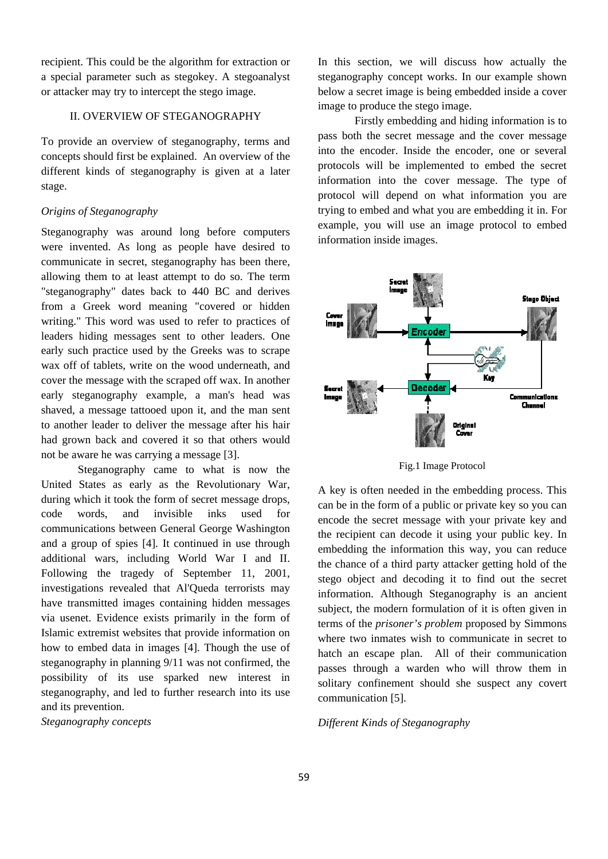recipient. This could be the algorithm for extraction or a special parameter such as stegokey. A stegoanalyst or attacker may try to intercept the stego image.

# II. OVERVIEW OF STEGANOGRAPHY

To provide an overview of steganography, terms and concepts should first be explained. An overview of the different kinds of steganography is given at a later stage.

#### *Origins of Steganography*

Steganography was around long before computers were invented. As long as people have desired to communicate in secret, steganography has been there, allowing them to at least attempt to do so. The term "steganography" dates back to 440 BC and derives from a Greek word meaning "covered or hidden writing." This word was used to refer to practices of leaders hiding messages sent to other leaders. One early such practice used by the Greeks was to scrape wax off of tablets, write on the wood underneath, and cover the message with the scraped off wax. In another early steganography example, a man's head was shaved, a message tattooed upon it, and the man sent to another leader to deliver the message after his hair had grown back and covered it so that others would not be aware he was carrying a message [3].

 Steganography came to what is now the United States as early as the Revolutionary War, during which it took the form of secret message drops, code words, and invisible inks used for communications between General George Washington and a group of spies [4]. It continued in use through additional wars, including World War I and II. Following the tragedy of September 11, 2001, investigations revealed that Al'Queda terrorists may have transmitted images containing hidden messages via usenet. Evidence exists primarily in the form of Islamic extremist websites that provide information on how to embed data in images [4]. Though the use of steganography in planning 9/11 was not confirmed, the possibility of its use sparked new interest in steganography, and led to further research into its use and its prevention.

*Steganography concepts* 

In this section, we will discuss how actually the steganography concept works. In our example shown below a secret image is being embedded inside a cover image to produce the stego image.

 Firstly embedding and hiding information is to pass both the secret message and the cover message into the encoder. Inside the encoder, one or several protocols will be implemented to embed the secret information into the cover message. The type of protocol will depend on what information you are trying to embed and what you are embedding it in. For example, you will use an image protocol to embed information inside images.



Fig.1 Image Protocol

A key is often needed in the embedding process. This can be in the form of a public or private key so you can encode the secret message with your private key and the recipient can decode it using your public key. In embedding the information this way, you can reduce the chance of a third party attacker getting hold of the stego object and decoding it to find out the secret information. Although Steganography is an ancient subject, the modern formulation of it is often given in terms of the *prisoner's problem* proposed by Simmons where two inmates wish to communicate in secret to hatch an escape plan. All of their communication passes through a warden who will throw them in solitary confinement should she suspect any covert communication [5].

#### *Different Kinds of Steganography*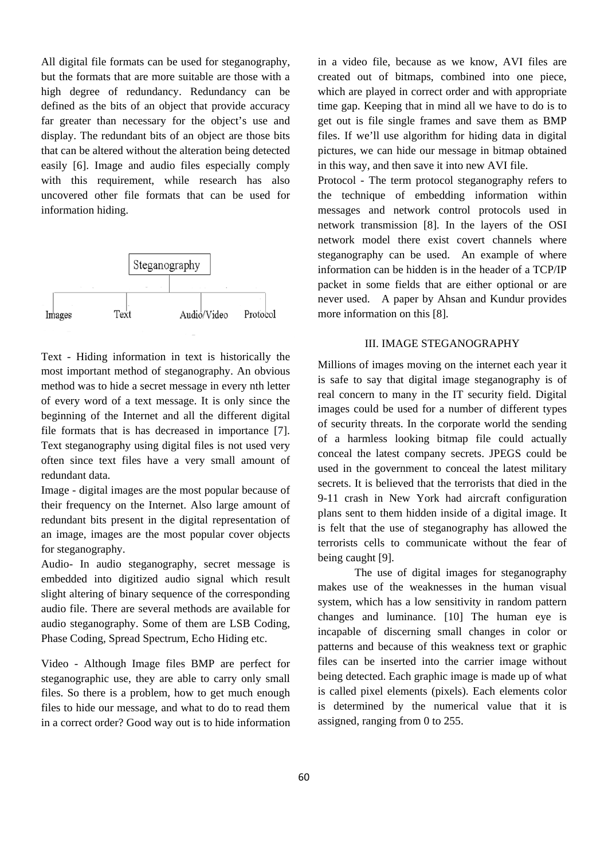All digital file formats can be used for steganography, but the formats that are more suitable are those with a high degree of redundancy. Redundancy can be defined as the bits of an object that provide accuracy far greater than necessary for the object's use and display. The redundant bits of an object are those bits that can be altered without the alteration being detected easily [6]. Image and audio files especially comply with this requirement, while research has also uncovered other file formats that can be used for information hiding.



Text - Hiding information in text is historically the most important method of steganography. An obvious method was to hide a secret message in every nth letter of every word of a text message. It is only since the beginning of the Internet and all the different digital file formats that is has decreased in importance [7]. Text steganography using digital files is not used very often since text files have a very small amount of redundant data.

Image - digital images are the most popular because of their frequency on the Internet. Also large amount of redundant bits present in the digital representation of an image, images are the most popular cover objects for steganography.

Audio- In audio steganography, secret message is embedded into digitized audio signal which result slight altering of binary sequence of the corresponding audio file. There are several methods are available for audio steganography. Some of them are LSB Coding, Phase Coding, Spread Spectrum, Echo Hiding etc.

Video - Although Image files BMP are perfect for steganographic use, they are able to carry only small files. So there is a problem, how to get much enough files to hide our message, and what to do to read them in a correct order? Good way out is to hide information in a video file, because as we know, AVI files are created out of bitmaps, combined into one piece, which are played in correct order and with appropriate time gap. Keeping that in mind all we have to do is to get out is file single frames and save them as BMP files. If we'll use algorithm for hiding data in digital pictures, we can hide our message in bitmap obtained in this way, and then save it into new AVI file.

Protocol - The term protocol steganography refers to the technique of embedding information within messages and network control protocols used in network transmission [8]. In the layers of the OSI network model there exist covert channels where steganography can be used. An example of where information can be hidden is in the header of a TCP/IP packet in some fields that are either optional or are never used. A paper by Ahsan and Kundur provides more information on this [8].

# III. IMAGE STEGANOGRAPHY

Millions of images moving on the internet each year it is safe to say that digital image steganography is of real concern to many in the IT security field. Digital images could be used for a number of different types of security threats. In the corporate world the sending of a harmless looking bitmap file could actually conceal the latest company secrets. JPEGS could be used in the government to conceal the latest military secrets. It is believed that the terrorists that died in the 9-11 crash in New York had aircraft configuration plans sent to them hidden inside of a digital image. It is felt that the use of steganography has allowed the terrorists cells to communicate without the fear of being caught [9].

 The use of digital images for steganography makes use of the weaknesses in the human visual system, which has a low sensitivity in random pattern changes and luminance. [10] The human eye is incapable of discerning small changes in color or patterns and because of this weakness text or graphic files can be inserted into the carrier image without being detected. Each graphic image is made up of what is called pixel elements (pixels). Each elements color is determined by the numerical value that it is assigned, ranging from 0 to 255.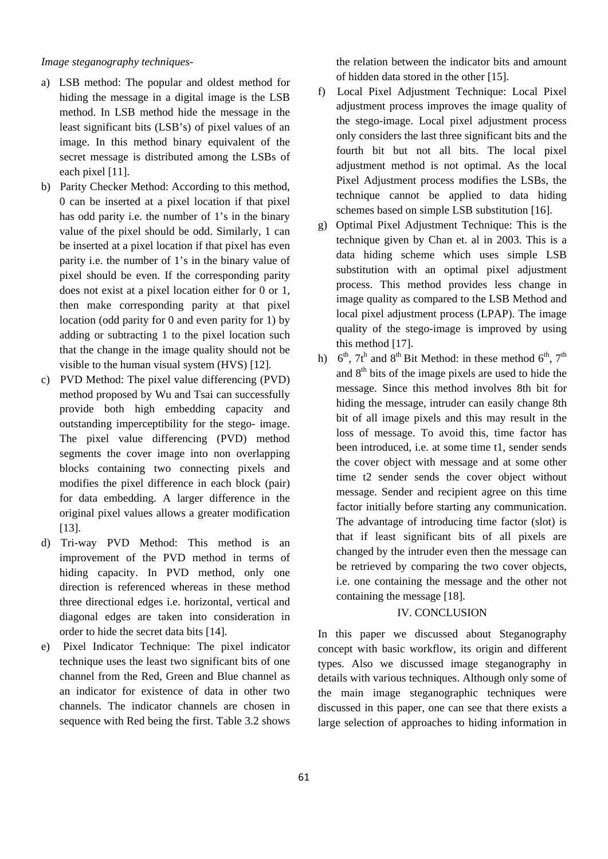## *Image steganography techniques-*

- a) LSB method: The popular and oldest method for hiding the message in a digital image is the LSB method. In LSB method hide the message in the least significant bits (LSB's) of pixel values of an image. In this method binary equivalent of the secret message is distributed among the LSBs of each pixel [11].
- b) Parity Checker Method: According to this method, 0 can be inserted at a pixel location if that pixel has odd parity i.e. the number of 1's in the binary value of the pixel should be odd. Similarly, 1 can be inserted at a pixel location if that pixel has even parity i.e. the number of 1's in the binary value of pixel should be even. If the corresponding parity does not exist at a pixel location either for 0 or 1, then make corresponding parity at that pixel location (odd parity for 0 and even parity for 1) by adding or subtracting 1 to the pixel location such that the change in the image quality should not be visible to the human visual system (HVS) [12].
- c) PVD Method: The pixel value differencing (PVD) method proposed by Wu and Tsai can successfully provide both high embedding capacity and outstanding imperceptibility for the stego- image. The pixel value differencing (PVD) method segments the cover image into non overlapping blocks containing two connecting pixels and modifies the pixel difference in each block (pair) for data embedding. A larger difference in the original pixel values allows a greater modification [13].
- d) Tri-way PVD Method: This method is an improvement of the PVD method in terms of hiding capacity. In PVD method, only one direction is referenced whereas in these method three directional edges i.e. horizontal, vertical and diagonal edges are taken into consideration in order to hide the secret data bits [14].
- e) Pixel Indicator Technique: The pixel indicator technique uses the least two significant bits of one channel from the Red, Green and Blue channel as an indicator for existence of data in other two channels. The indicator channels are chosen in sequence with Red being the first. Table 3.2 shows

the relation between the indicator bits and amount of hidden data stored in the other [15].

- f) Local Pixel Adjustment Technique: Local Pixel adjustment process improves the image quality of the stego-image. Local pixel adjustment process only considers the last three significant bits and the fourth bit but not all bits. The local pixel adjustment method is not optimal. As the local Pixel Adjustment process modifies the LSBs, the technique cannot be applied to data hiding schemes based on simple LSB substitution [16].
- g) Optimal Pixel Adjustment Technique: This is the technique given by Chan et. al in 2003. This is a data hiding scheme which uses simple LSB substitution with an optimal pixel adjustment process. This method provides less change in image quality as compared to the LSB Method and local pixel adjustment process (LPAP). The image quality of the stego-image is improved by using this method [17].
- h)  $6<sup>th</sup>$ ,  $7t<sup>h</sup>$  and  $8<sup>th</sup>$  Bit Method: in these method  $6<sup>th</sup>$ ,  $7<sup>th</sup>$ and  $8<sup>th</sup>$  bits of the image pixels are used to hide the message. Since this method involves 8th bit for hiding the message, intruder can easily change 8th bit of all image pixels and this may result in the loss of message. To avoid this, time factor has been introduced, i.e. at some time t1, sender sends the cover object with message and at some other time t2 sender sends the cover object without message. Sender and recipient agree on this time factor initially before starting any communication. The advantage of introducing time factor (slot) is that if least significant bits of all pixels are changed by the intruder even then the message can be retrieved by comparing the two cover objects, i.e. one containing the message and the other not containing the message [18].

#### IV. CONCLUSION

In this paper we discussed about Steganography concept with basic workflow, its origin and different types. Also we discussed image steganography in details with various techniques. Although only some of the main image steganographic techniques were discussed in this paper, one can see that there exists a large selection of approaches to hiding information in